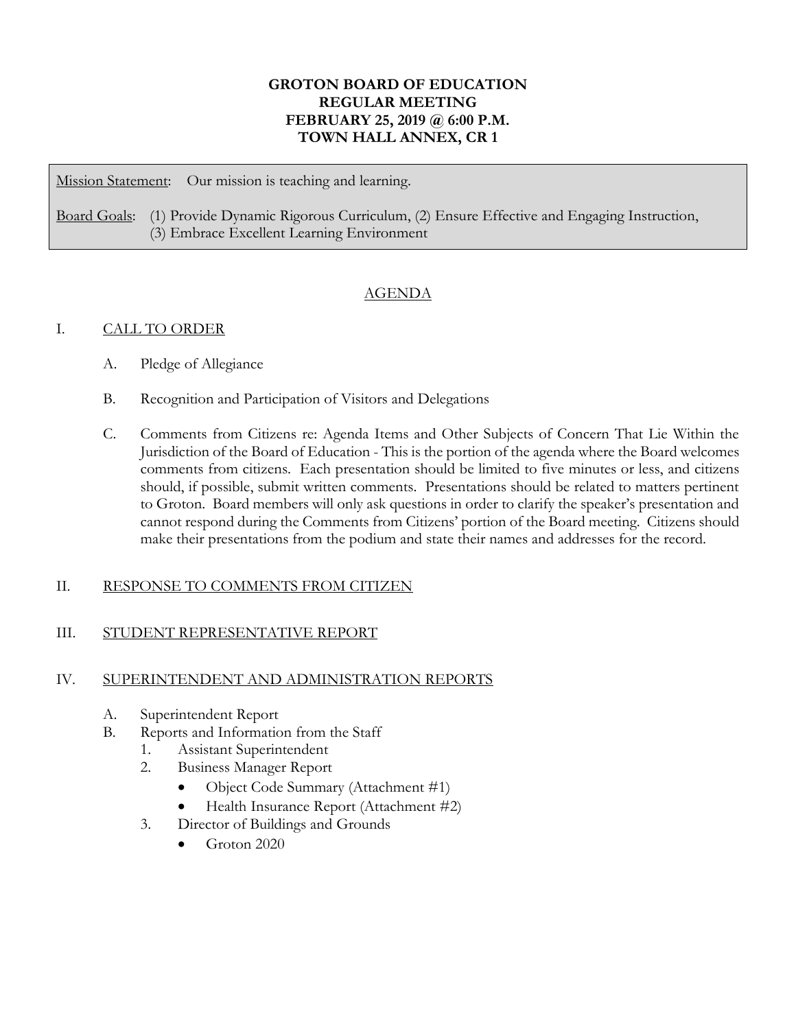# **GROTON BOARD OF EDUCATION REGULAR MEETING FEBRUARY 25, 2019 @ 6:00 P.M. TOWN HALL ANNEX, CR 1**

Mission Statement: Our mission is teaching and learning.

Board Goals: (1) Provide Dynamic Rigorous Curriculum, (2) Ensure Effective and Engaging Instruction, (3) Embrace Excellent Learning Environment

# AGENDA

## I. CALL TO ORDER

- A. Pledge of Allegiance
- B. Recognition and Participation of Visitors and Delegations
- C. Comments from Citizens re: Agenda Items and Other Subjects of Concern That Lie Within the Jurisdiction of the Board of Education - This is the portion of the agenda where the Board welcomes comments from citizens. Each presentation should be limited to five minutes or less, and citizens should, if possible, submit written comments. Presentations should be related to matters pertinent to Groton. Board members will only ask questions in order to clarify the speaker's presentation and cannot respond during the Comments from Citizens' portion of the Board meeting. Citizens should make their presentations from the podium and state their names and addresses for the record.

## II. RESPONSE TO COMMENTS FROM CITIZEN

## III. STUDENT REPRESENTATIVE REPORT

#### IV. SUPERINTENDENT AND ADMINISTRATION REPORTS

- A. Superintendent Report
- B. Reports and Information from the Staff
	- 1. Assistant Superintendent
	- 2. Business Manager Report
		- Object Code Summary (Attachment #1)
		- Health Insurance Report (Attachment #2)
	- 3. Director of Buildings and Grounds
		- Groton 2020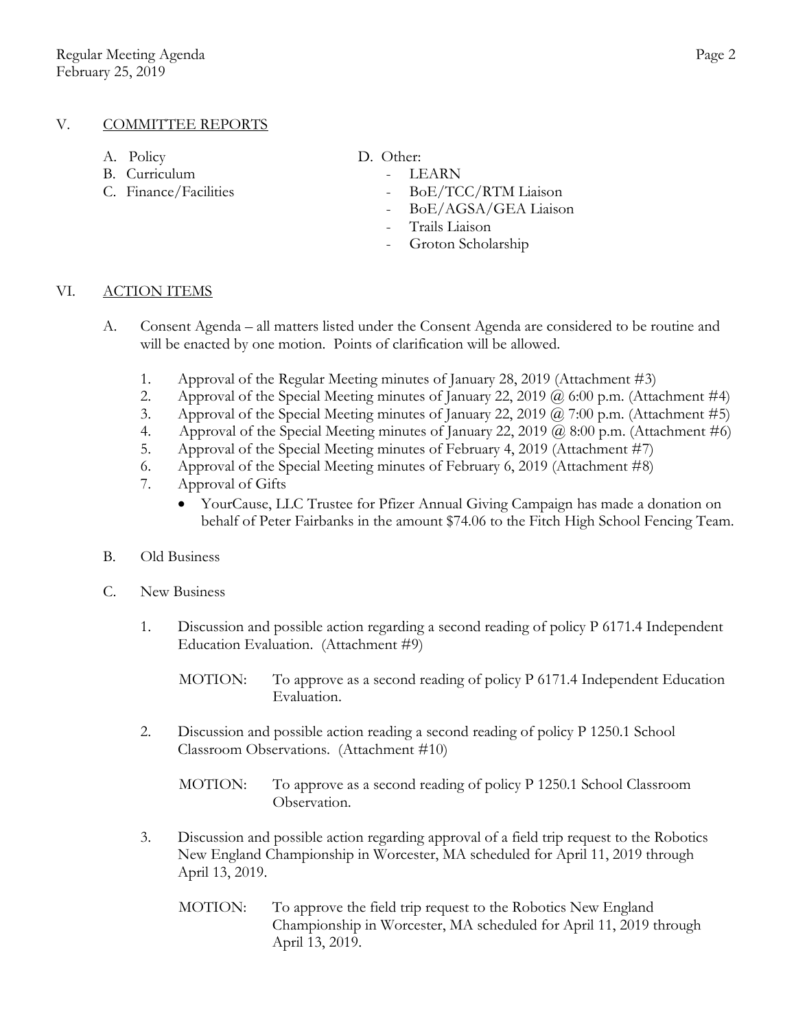## V. COMMITTEE REPORTS

- A. Policy D. Other:
- B. Curriculum LEARN
- C. Finance/Facilities BoE/TCC/RTM Liaison
- -
	-
	- BoE/AGSA/GEA Liaison
	- Trails Liaison
	- Groton Scholarship

#### VI. ACTION ITEMS

- A. Consent Agenda all matters listed under the Consent Agenda are considered to be routine and will be enacted by one motion. Points of clarification will be allowed.
	- 1. Approval of the Regular Meeting minutes of January 28, 2019 (Attachment #3)
	- 2. Approval of the Special Meeting minutes of January 22, 2019  $\omega$  6:00 p.m. (Attachment #4)
	- 3. Approval of the Special Meeting minutes of January 22, 2019 @ 7:00 p.m. (Attachment #5)
	- 4. Approval of the Special Meeting minutes of January 22, 2019 @ 8:00 p.m. (Attachment #6)
	- 5. Approval of the Special Meeting minutes of February 4, 2019 (Attachment #7)
	- 6. Approval of the Special Meeting minutes of February 6, 2019 (Attachment #8)
	- 7. Approval of Gifts
		- YourCause, LLC Trustee for Pfizer Annual Giving Campaign has made a donation on behalf of Peter Fairbanks in the amount \$74.06 to the Fitch High School Fencing Team.

#### B. Old Business

- C. New Business
	- 1. Discussion and possible action regarding a second reading of policy P 6171.4 Independent Education Evaluation. (Attachment #9)
		- MOTION: To approve as a second reading of policy P 6171.4 Independent Education Evaluation.
	- 2. Discussion and possible action reading a second reading of policy P 1250.1 School Classroom Observations. (Attachment #10)
		- MOTION: To approve as a second reading of policy P 1250.1 School Classroom Observation.
	- 3. Discussion and possible action regarding approval of a field trip request to the Robotics New England Championship in Worcester, MA scheduled for April 11, 2019 through April 13, 2019.
		- MOTION: To approve the field trip request to the Robotics New England Championship in Worcester, MA scheduled for April 11, 2019 through April 13, 2019.